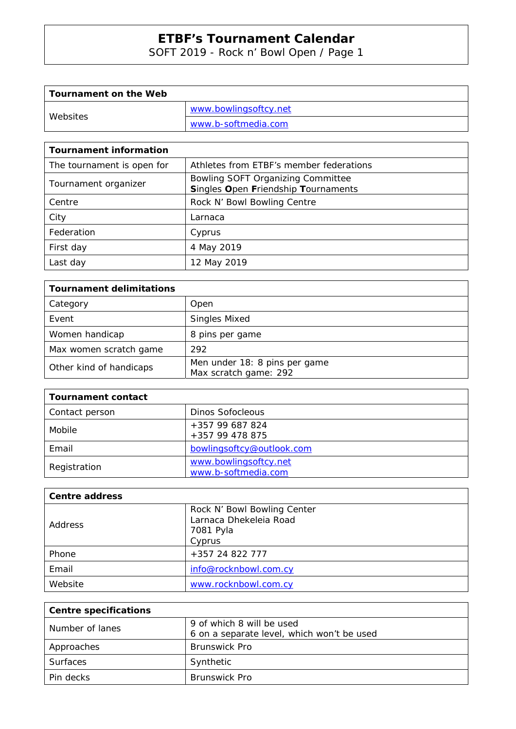SOFT 2019 - Rock n' Bowl Open / Page 1

| Tournament on the Web |                       |
|-----------------------|-----------------------|
| Websites              | www.bowlingsoftcy.net |
|                       | www.b-softmedia.com   |

| <b>Tournament information</b> |                                                                          |
|-------------------------------|--------------------------------------------------------------------------|
| The tournament is open for    | Athletes from ETBF's member federations                                  |
| Tournament organizer          | Bowling SOFT Organizing Committee<br>Singles Open Friendship Tournaments |
| Centre                        | Rock N' Bowl Bowling Centre                                              |
| City                          | Larnaca                                                                  |
| Federation                    | Cyprus                                                                   |
| First day                     | 4 May 2019                                                               |
| Last day                      | 12 May 2019                                                              |

| <b>Tournament delimitations</b> |                                                        |  |  |  |  |  |  |
|---------------------------------|--------------------------------------------------------|--|--|--|--|--|--|
| Category                        | Open                                                   |  |  |  |  |  |  |
| Event                           | <b>Singles Mixed</b>                                   |  |  |  |  |  |  |
| Women handicap                  | 8 pins per game                                        |  |  |  |  |  |  |
| Max women scratch game          | 292                                                    |  |  |  |  |  |  |
| Other kind of handicaps         | Men under 18: 8 pins per game<br>Max scratch game: 292 |  |  |  |  |  |  |

| <b>Tournament contact</b> |                                              |
|---------------------------|----------------------------------------------|
| Contact person            | Dinos Sofocleous                             |
| Mobile                    | +357 99 687 824<br>+357 99 478 875           |
| Email                     | bowlingsoftcy@outlook.com                    |
| Registration              | www.bowlingsoftcy.net<br>www.b-softmedia.com |

| <b>Centre address</b> |                                                                              |
|-----------------------|------------------------------------------------------------------------------|
| <b>Address</b>        | Rock N' Bowl Bowling Center<br>Larnaca Dhekeleia Road<br>7081 Pyla<br>Cyprus |
| Phone                 | +357 24 822 777                                                              |
| Email                 | info@rocknbowl.com.cy                                                        |
| Website               | www.rocknbowl.com.cy                                                         |

| <b>Centre specifications</b> |                                            |
|------------------------------|--------------------------------------------|
| Number of lanes              | 9 of which 8 will be used                  |
|                              | 6 on a separate level, which won't be used |
| Approaches                   | <b>Brunswick Pro</b>                       |
| <b>Surfaces</b>              | Synthetic                                  |
| Pin decks                    | <b>Brunswick Pro</b>                       |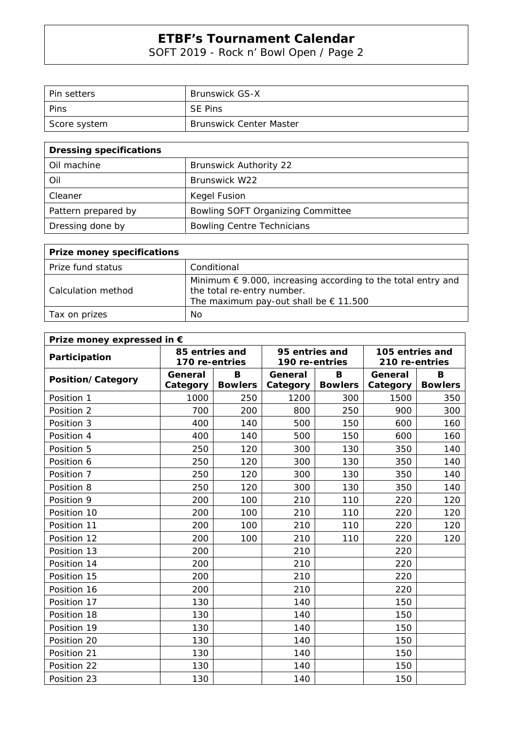SOFT 2019 - Rock n' Bowl Open / Page 2

| l Pin setters | <b>Brunswick GS-X</b>          |
|---------------|--------------------------------|
| Pins          | <b>SE Pins</b>                 |
| Score system  | <b>Brunswick Center Master</b> |

| <b>Dressing specifications</b> |                                   |  |  |  |  |  |  |
|--------------------------------|-----------------------------------|--|--|--|--|--|--|
| Oil machine                    | <b>Brunswick Authority 22</b>     |  |  |  |  |  |  |
| Oil                            | Brunswick W22                     |  |  |  |  |  |  |
| Cleaner                        | Kegel Fusion                      |  |  |  |  |  |  |
| Pattern prepared by            | Bowling SOFT Organizing Committee |  |  |  |  |  |  |
| Dressing done by               | <b>Bowling Centre Technicians</b> |  |  |  |  |  |  |

| <b>Prize money specifications</b> |                                                                                                                                                       |
|-----------------------------------|-------------------------------------------------------------------------------------------------------------------------------------------------------|
| Prize fund status                 | Conditional                                                                                                                                           |
| Calculation method                | Minimum $\epsilon$ 9.000, increasing according to the total entry and<br>the total re-entry number.<br>The maximum pay-out shall be $\epsilon$ 11.500 |
| Tax on prizes                     | No.                                                                                                                                                   |

| Prize money expressed in € |                |                |                |                |                 |                |  |  |  |  |
|----------------------------|----------------|----------------|----------------|----------------|-----------------|----------------|--|--|--|--|
| Participation              | 85 entries and |                | 95 entries and |                | 105 entries and |                |  |  |  |  |
|                            | 170 re-entries |                | 190 re-entries |                | 210 re-entries  |                |  |  |  |  |
| Position/Category          | General        | В              | General        | B              | General         | B              |  |  |  |  |
|                            | Category       | <b>Bowlers</b> | Category       | <b>Bowlers</b> | Category        | <b>Bowlers</b> |  |  |  |  |
| Position 1                 | 1000           | 250            | 1200           | 300            | 1500            | 350            |  |  |  |  |
| Position 2                 | 700            | 200            | 800            | 250            | 900             | 300            |  |  |  |  |
| Position 3                 | 400            | 140            | 500            | 150            | 600             | 160            |  |  |  |  |
| Position 4                 | 400            | 140            | 500            | 150            | 600             | 160            |  |  |  |  |
| Position 5                 | 250            | 120            | 300            | 130            | 350             | 140            |  |  |  |  |
| Position 6                 | 250            | 120            | 300            | 130            | 350             | 140            |  |  |  |  |
| Position 7                 | 250            | 120            | 300            | 130            | 350             | 140            |  |  |  |  |
| Position 8                 | 250            | 120            | 300            | 130            | 350             | 140            |  |  |  |  |
| Position 9                 | 200            | 100            | 210            | 110            | 220             | 120            |  |  |  |  |
| Position 10                | 200            | 100            | 210            | 110            | 220             | 120            |  |  |  |  |
| Position 11                | 200            | 100            | 210            | 110            | 220             | 120            |  |  |  |  |
| Position 12                | 200            | 100            | 210            | 110            | 220             | 120            |  |  |  |  |
| Position 13                | 200            |                | 210            |                | 220             |                |  |  |  |  |
| Position 14                | 200            |                | 210            |                | 220             |                |  |  |  |  |
| Position 15                | 200            |                | 210            |                | 220             |                |  |  |  |  |
| Position 16                | 200            |                | 210            |                | 220             |                |  |  |  |  |
| Position 17                | 130            |                | 140            |                | 150             |                |  |  |  |  |
| Position 18                | 130            |                | 140            |                | 150             |                |  |  |  |  |
| Position 19                | 130            |                | 140            |                | 150             |                |  |  |  |  |
| Position 20                | 130            |                | 140            |                | 150             |                |  |  |  |  |
| Position 21                | 130            |                | 140            |                | 150             |                |  |  |  |  |
| Position 22                | 130            |                | 140            |                | 150             |                |  |  |  |  |
| Position 23                | 130            |                | 140            |                | 150             |                |  |  |  |  |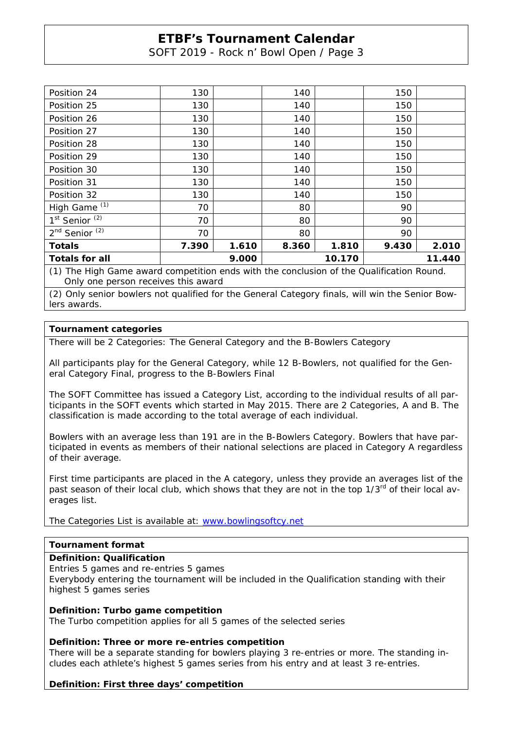SOFT 2019 - Rock n' Bowl Open / Page 3

| Position 24                                                                              | 130                       |       | 140   |       | 150   |       |  |  |
|------------------------------------------------------------------------------------------|---------------------------|-------|-------|-------|-------|-------|--|--|
| Position 25                                                                              | 130                       |       | 140   |       | 150   |       |  |  |
| Position 26                                                                              | 130                       |       | 140   |       | 150   |       |  |  |
| Position 27                                                                              | 130                       |       | 140   |       | 150   |       |  |  |
| Position 28                                                                              | 130                       |       | 140   |       | 150   |       |  |  |
| Position 29                                                                              | 130                       |       | 140   |       | 150   |       |  |  |
| Position 30                                                                              | 130                       |       | 140   |       | 150   |       |  |  |
| Position 31                                                                              | 130                       |       | 140   |       | 150   |       |  |  |
| Position 32                                                                              | 130                       |       | 140   |       | 150   |       |  |  |
| High Game <sup>(1)</sup>                                                                 | 70                        |       | 80    |       | 90    |       |  |  |
| 1 <sup>st</sup> Senior <sup>(2)</sup>                                                    | 70                        |       | 80    |       | 90    |       |  |  |
| 2 <sup>nd</sup> Senior <sup>(2)</sup>                                                    | 70                        |       | 80    |       | 90    |       |  |  |
| <b>Totals</b>                                                                            | 7.390                     | 1.610 | 8.360 | 1.810 | 9.430 | 2.010 |  |  |
| <b>Totals for all</b>                                                                    | 11.440<br>9.000<br>10.170 |       |       |       |       |       |  |  |
| (1) The High Game award competition ends with the conclusion of the Qualification Round. |                           |       |       |       |       |       |  |  |

Only one person receives this award

(2) Only senior bowlers not qualified for the General Category finals, will win the Senior Bowlers awards.

## **Tournament categories**

There will be 2 Categories: The General Category and the B-Bowlers Category

All participants play for the General Category, while 12 B-Bowlers, not qualified for the General Category Final, progress to the B-Bowlers Final

The SOFT Committee has issued a Category List, according to the individual results of all participants in the SOFT events which started in May 2015. There are 2 Categories, A and B. The classification is made according to the total average of each individual.

Bowlers with an average less than 191 are in the B-Bowlers Category. Bowlers that have participated in events as members of their national selections are placed in Category A regardless of their average.

First time participants are placed in the A category, unless they provide an averages list of the past season of their local club, which shows that they are not in the top  $1/3^{rd}$  of their local averages list.

The Categories List is available at: www.bowlingsoftcy.net

# **Tournament format**

### **Definition: Qualification**

Entries 5 games and re-entries 5 games

Everybody entering the tournament will be included in the Qualification standing with their highest 5 games series

### **Definition: Turbo game competition**

The Turbo competition applies for all 5 games of the selected series

### **Definition: Three or more re-entries competition**

There will be a separate standing for bowlers playing 3 re-entries or more. The standing includes each athlete's highest 5 games series from his entry and at least 3 re-entries.

### **Definition: First three days' competition**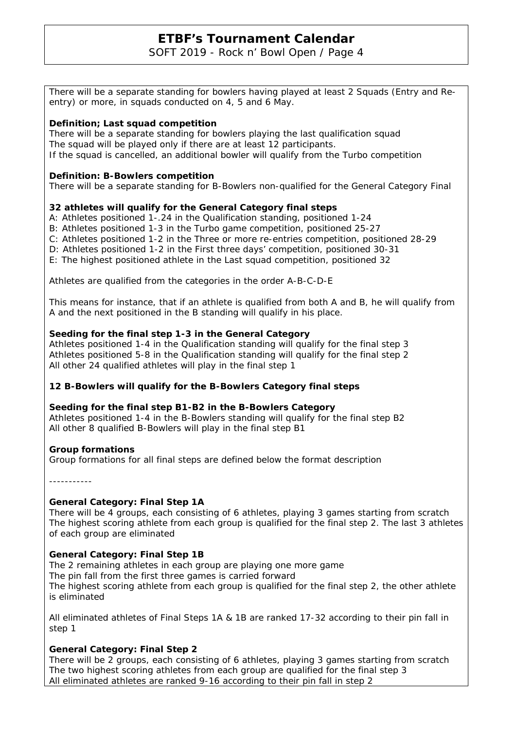SOFT 2019 - Rock n' Bowl Open / Page 4

There will be a separate standing for bowlers having played at least 2 Squads (Entry and Reentry) or more, in squads conducted on 4, 5 and 6 May.

## **Definition; Last squad competition**

There will be a separate standing for bowlers playing the last qualification squad The squad will be played only if there are at least 12 participants. If the squad is cancelled, an additional bowler will qualify from the Turbo competition

## **Definition: B-Bowlers competition**

There will be a separate standing for B-Bowlers non-qualified for the General Category Final

# **32 athletes will qualify for the General Category final steps**

A: Athletes positioned 1-.24 in the Qualification standing, positioned 1-24

- B: Athletes positioned 1-3 in the Turbo game competition, positioned 25-27
- C: Athletes positioned 1-2 in the Three or more re-entries competition, positioned 28-29
- D: Athletes positioned 1-2 in the First three days' competition, positioned 30-31
- E: The highest positioned athlete in the Last squad competition, positioned 32

Athletes are qualified from the categories in the order A-B-C-D-E

This means for instance, that if an athlete is qualified from both A and B, he will qualify from A and the next positioned in the B standing will qualify in his place.

## **Seeding for the final step 1-3 in the General Category**

Athletes positioned 1-4 in the Qualification standing will qualify for the final step 3 Athletes positioned 5-8 in the Qualification standing will qualify for the final step 2 All other 24 qualified athletes will play in the final step 1

# **12 B-Bowlers will qualify for the B-Bowlers Category final steps**

### **Seeding for the final step B1-B2 in the B-Bowlers Category**

Athletes positioned 1-4 in the B-Bowlers standing will qualify for the final step B2 All other 8 qualified B-Bowlers will play in the final step B1

### **Group formations**

Group formations for all final steps are defined below the format description

-----------

### **General Category: Final Step 1A**

There will be 4 groups, each consisting of 6 athletes, playing 3 games starting from scratch The highest scoring athlete from each group is qualified for the final step 2. The last 3 athletes of each group are eliminated

# **General Category: Final Step 1B**

The 2 remaining athletes in each group are playing one more game The pin fall from the first three games is carried forward The highest scoring athlete from each group is qualified for the final step 2, the other athlete is eliminated

All eliminated athletes of Final Steps 1A & 1B are ranked 17-32 according to their pin fall in step 1

# **General Category: Final Step 2**

There will be 2 groups, each consisting of 6 athletes, playing 3 games starting from scratch The two highest scoring athletes from each group are qualified for the final step 3 All eliminated athletes are ranked 9-16 according to their pin fall in step 2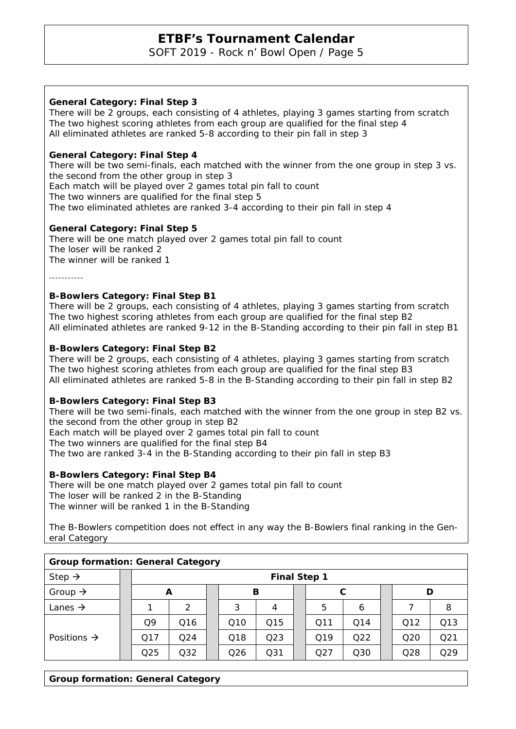SOFT 2019 - Rock n' Bowl Open / Page 5

# **General Category: Final Step 3**

There will be 2 groups, each consisting of 4 athletes, playing 3 games starting from scratch The two highest scoring athletes from each group are qualified for the final step 4 All eliminated athletes are ranked 5-8 according to their pin fall in step 3

## **General Category: Final Step 4**

There will be two semi-finals, each matched with the winner from the one group in step 3 vs. the second from the other group in step 3 Each match will be played over 2 games total pin fall to count The two winners are qualified for the final step 5 The two eliminated athletes are ranked 3-4 according to their pin fall in step 4

### **General Category: Final Step 5**

There will be one match played over 2 games total pin fall to count The loser will be ranked 2 The winner will be ranked 1

-----------

#### **B-Bowlers Category: Final Step B1**

There will be 2 groups, each consisting of 4 athletes, playing 3 games starting from scratch The two highest scoring athletes from each group are qualified for the final step B2 All eliminated athletes are ranked 9-12 in the B-Standing according to their pin fall in step B1

### **B-Bowlers Category: Final Step B2**

There will be 2 groups, each consisting of 4 athletes, playing 3 games starting from scratch The two highest scoring athletes from each group are qualified for the final step B3 All eliminated athletes are ranked 5-8 in the B-Standing according to their pin fall in step B2

### **B-Bowlers Category: Final Step B3**

There will be two semi-finals, each matched with the winner from the one group in step B2 vs. the second from the other group in step B2

Each match will be played over 2 games total pin fall to count

The two winners are qualified for the final step B4

The two are ranked 3-4 in the B-Standing according to their pin fall in step B3

### **B-Bowlers Category: Final Step B4**

There will be one match played over 2 games total pin fall to count The loser will be ranked 2 in the B-Standing The winner will be ranked 1 in the B-Standing

The B-Bowlers competition does not effect in any way the B-Bowlers final ranking in the General Category

| <b>Group formation: General Category</b> |                     |     |                  |  |                 |                 |  |     |                 |  |                 |                 |
|------------------------------------------|---------------------|-----|------------------|--|-----------------|-----------------|--|-----|-----------------|--|-----------------|-----------------|
| Step $\rightarrow$                       | <b>Final Step 1</b> |     |                  |  |                 |                 |  |     |                 |  |                 |                 |
| Group $\rightarrow$                      |                     |     | в<br>C<br>D<br>A |  |                 |                 |  |     |                 |  |                 |                 |
| Lanes $\rightarrow$                      |                     |     | っ                |  | 3               | 4               |  | 5   | 6               |  |                 | 8               |
|                                          |                     | Q9  | Q16              |  | Q <sub>10</sub> | Q15             |  | Q11 | Q14             |  | Q12             | Q13             |
| Positions $\rightarrow$                  |                     | Q17 | O <sub>24</sub>  |  | Q18             | Q <sub>23</sub> |  | Q19 | O <sub>22</sub> |  | Q <sub>20</sub> | Q <sub>21</sub> |
|                                          |                     | Q25 | Q32              |  | Q26             | Q <sub>31</sub> |  | Q27 | Q30             |  | Q28             | Q29             |

### **Group formation: General Category**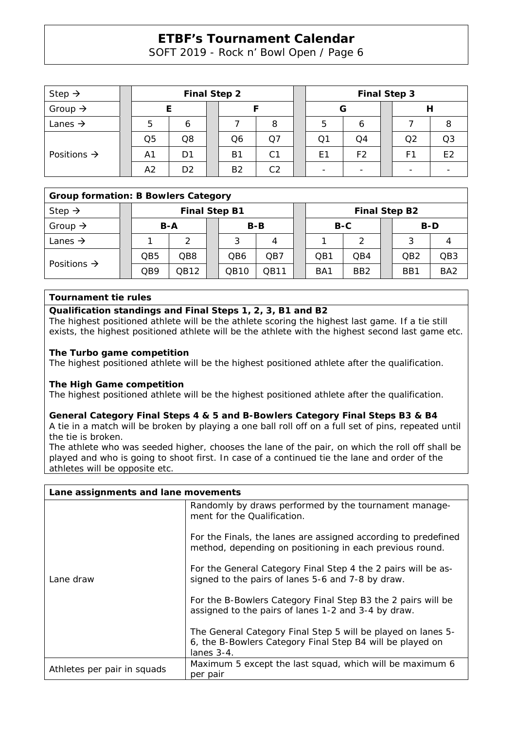SOFT 2019 - Rock n' Bowl Open / Page 6

| Step $\rightarrow$      | <b>Final Step 2</b> |                |  |                |                |  | <b>Final Step 3</b> |                |  |    |                |  |
|-------------------------|---------------------|----------------|--|----------------|----------------|--|---------------------|----------------|--|----|----------------|--|
| Group $\rightarrow$     |                     |                |  |                |                |  | G                   |                |  |    |                |  |
| Lanes $\rightarrow$     | 5                   |                |  |                | 8              |  | 5                   | O              |  |    |                |  |
| Positions $\rightarrow$ | Q <sub>5</sub>      | Q8             |  | Q6             | Ο7             |  | Q1                  | Q4             |  | Q2 | Q3             |  |
|                         | A <sub>1</sub>      | D1             |  | Β1             | C <sub>1</sub> |  | E1                  | F <sub>2</sub> |  | F1 | E <sub>2</sub> |  |
|                         | A2                  | D <sub>2</sub> |  | B <sub>2</sub> | C <sub>2</sub> |  |                     |                |  |    |                |  |

# **Group formation: B Bowlers Category**

| Step $\rightarrow$      |  | <b>Final Step B1</b> |      |  |       |      |  | <b>Final Step B2</b> |                 |  |                 |                 |  |
|-------------------------|--|----------------------|------|--|-------|------|--|----------------------|-----------------|--|-----------------|-----------------|--|
| Group $\rightarrow$     |  | B-A                  |      |  | $B-B$ |      |  | B-C                  |                 |  | B-D             |                 |  |
| Lanes $\rightarrow$     |  |                      | ⌒    |  |       |      |  |                      |                 |  |                 |                 |  |
| Positions $\rightarrow$ |  | QB5                  | QB8  |  | QB6   | QB7  |  | OB <sub>1</sub>      | OB4             |  | QB <sub>2</sub> | QB <sub>3</sub> |  |
|                         |  | QB9                  | QB12 |  | QB10  | QB11 |  | BA <sub>1</sub>      | BB <sub>2</sub> |  | BB1             | BA <sub>2</sub> |  |

### **Tournament tie rules**

### **Qualification standings and Final Steps 1, 2, 3, B1 and B2**

The highest positioned athlete will be the athlete scoring the highest last game. If a tie still exists, the highest positioned athlete will be the athlete with the highest second last game etc.

### **The Turbo game competition**

The highest positioned athlete will be the highest positioned athlete after the qualification.

# **The High Game competition**

The highest positioned athlete will be the highest positioned athlete after the qualification.

# **General Category Final Steps 4 & 5 and B-Bowlers Category Final Steps B3 & B4**

A tie in a match will be broken by playing a one ball roll off on a full set of pins, repeated until the tie is broken.

The athlete who was seeded higher, chooses the lane of the pair, on which the roll off shall be played and who is going to shoot first. In case of a continued tie the lane and order of the athletes will be opposite etc.

| Lane assignments and lane movements |                                                                                                                                            |  |  |  |  |  |  |
|-------------------------------------|--------------------------------------------------------------------------------------------------------------------------------------------|--|--|--|--|--|--|
|                                     | Randomly by draws performed by the tournament manage-<br>ment for the Qualification.                                                       |  |  |  |  |  |  |
|                                     | For the Finals, the lanes are assigned according to predefined<br>method, depending on positioning in each previous round.                 |  |  |  |  |  |  |
| Lane draw                           | For the General Category Final Step 4 the 2 pairs will be as-<br>signed to the pairs of lanes 5-6 and 7-8 by draw.                         |  |  |  |  |  |  |
|                                     | For the B-Bowlers Category Final Step B3 the 2 pairs will be<br>assigned to the pairs of lanes 1-2 and 3-4 by draw.                        |  |  |  |  |  |  |
|                                     | The General Category Final Step 5 will be played on lanes 5-<br>6, the B-Bowlers Category Final Step B4 will be played on<br>lanes $3-4$ . |  |  |  |  |  |  |
| Athletes per pair in squads         | Maximum 5 except the last squad, which will be maximum 6<br>per pair                                                                       |  |  |  |  |  |  |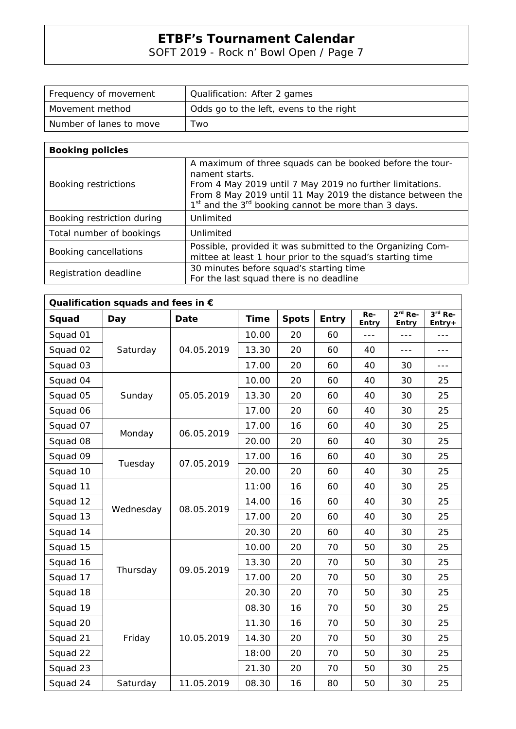SOFT 2019 - Rock n' Bowl Open / Page 7

| Frequency of movement   | Qualification: After 2 games            |  |  |  |  |  |
|-------------------------|-----------------------------------------|--|--|--|--|--|
| Movement method         | Odds go to the left, evens to the right |  |  |  |  |  |
| Number of lanes to move | ™o                                      |  |  |  |  |  |

| <b>Booking policies</b>    |                                                                                                                                                                                                                                                                                     |
|----------------------------|-------------------------------------------------------------------------------------------------------------------------------------------------------------------------------------------------------------------------------------------------------------------------------------|
| Booking restrictions       | A maximum of three squads can be booked before the tour-<br>nament starts.<br>From 4 May 2019 until 7 May 2019 no further limitations.<br>From 8 May 2019 until 11 May 2019 the distance between the<br>1 <sup>st</sup> and the 3 <sup>rd</sup> booking cannot be more than 3 days. |
| Booking restriction during | Unlimited                                                                                                                                                                                                                                                                           |
| Total number of bookings   | Unlimited                                                                                                                                                                                                                                                                           |
| Booking cancellations      | Possible, provided it was submitted to the Organizing Com-<br>mittee at least 1 hour prior to the squad's starting time                                                                                                                                                             |
| Registration deadline      | 30 minutes before squad's starting time<br>For the last squad there is no deadline                                                                                                                                                                                                  |

| Qualification squads and fees in $\epsilon$ |           |             |             |              |              |              |                    |                     |  |  |
|---------------------------------------------|-----------|-------------|-------------|--------------|--------------|--------------|--------------------|---------------------|--|--|
| Squad                                       | Day       | <b>Date</b> | <b>Time</b> | <b>Spots</b> | <b>Entry</b> | Re-<br>Entry | $2rd$ Re-<br>Entry | $3rd$ Re-<br>Entry+ |  |  |
| Squad 01                                    |           |             | 10.00       | 20           | 60           | $---$        | $- - -$            | ---                 |  |  |
| Squad 02                                    | Saturday  | 04.05.2019  | 13.30       | 20           | 60           | 40           | $---$              | $---$               |  |  |
| Squad 03                                    |           |             | 17.00       | 20           | 60           | 40           | 30                 | $---$               |  |  |
| Squad 04                                    |           |             | 10.00       | 20           | 60           | 40           | 30                 | 25                  |  |  |
| Squad 05                                    | Sunday    | 05.05.2019  | 13.30       | 20           | 60           | 40           | 30                 | 25                  |  |  |
| Squad 06                                    |           |             | 17.00       | 20           | 60           | 40           | 30                 | 25                  |  |  |
| Squad 07                                    |           | 06.05.2019  | 17.00       | 16           | 60           | 40           | 30                 | 25                  |  |  |
| Squad 08                                    | Monday    |             | 20.00       | 20           | 60           | 40           | 30                 | 25                  |  |  |
| Squad 09                                    |           |             | 17.00       | 16           | 60           | 40           | 30                 | 25                  |  |  |
| Squad 10                                    | Tuesday   | 07.05.2019  | 20.00       | 20           | 60           | 40           | 30                 | 25                  |  |  |
| Squad 11                                    | Wednesday | 08.05.2019  | 11:00       | 16           | 60           | 40           | 30                 | 25                  |  |  |
| Squad 12                                    |           |             | 14.00       | 16           | 60           | 40           | 30                 | 25                  |  |  |
| Squad 13                                    |           |             | 17.00       | 20           | 60           | 40           | 30                 | 25                  |  |  |
| Squad 14                                    |           |             | 20.30       | 20           | 60           | 40           | 30                 | 25                  |  |  |
| Squad 15                                    |           |             | 10.00       | 20           | 70           | 50           | 30                 | 25                  |  |  |
| Squad 16                                    |           | 09.05.2019  | 13.30       | 20           | 70           | 50           | 30                 | 25                  |  |  |
| Squad 17                                    | Thursday  |             | 17.00       | 20           | 70           | 50           | 30                 | 25                  |  |  |
| Squad 18                                    |           |             | 20.30       | 20           | 70           | 50           | 30                 | 25                  |  |  |
| Squad 19                                    |           |             | 08.30       | 16           | 70           | 50           | 30                 | 25                  |  |  |
| Squad 20                                    |           | 10.05.2019  | 11.30       | 16           | 70           | 50           | 30                 | 25                  |  |  |
| Squad 21                                    | Friday    |             | 14.30       | 20           | 70           | 50           | 30                 | 25                  |  |  |
| Squad 22                                    |           |             | 18:00       | 20           | 70           | 50           | 30                 | 25                  |  |  |
| Squad 23                                    |           |             | 21.30       | 20           | 70           | 50           | 30                 | 25                  |  |  |
| Squad 24                                    | Saturday  | 11.05.2019  | 08.30       | 16           | 80           | 50           | 30                 | 25                  |  |  |